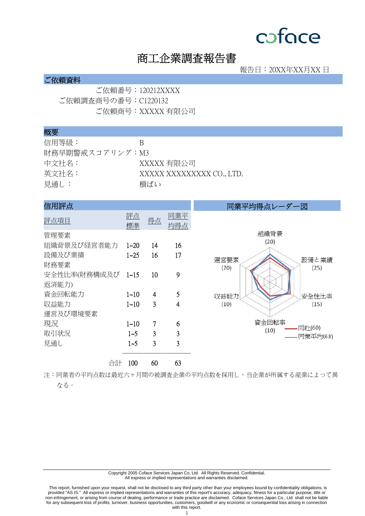# 商工企業調査報告書

報告日:20XX年XX月XX 日

### ご依頼資料

ご依頼番号:120212XXXX ご依頼調査商号の番号:C1220132 ご依頼商号:XXXXX 有限公司

#### 概要

| 信用等級:           | К                         |
|-----------------|---------------------------|
| 財務早期警戒スコアリング:M3 |                           |
| 中文社名:           | XXXXX 有限公司                |
| 英文社名:           | XXXXX XXXXXXXXX CO., LTD. |
| 見通し:            | 横ばい                       |

| 信用評点                       |          |    |                | 同業平均得点レーダー図                   |
|----------------------------|----------|----|----------------|-------------------------------|
| 評点項目                       | 評点<br>標準 | 得点 | 同業平<br>均得点     |                               |
| 管理要素                       |          |    |                | 組織背景                          |
| 組織背景及び経営者能力                | $1 - 20$ | 14 | 16             | (20)                          |
| 設備及び業績<br>財務要素             | $1 - 25$ | 16 | 17             | 運営要素<br>設備と業績<br>(20)<br>(25) |
| 安全性比率(財務構成及び 1~15<br>返済能力) |          | 10 | 9              |                               |
| 資金回転能力                     | $1 - 10$ | 4  | 5              | 収益能力<br>安全性比率                 |
| 収益能力                       | $1 - 10$ | 3  | 4              | (10)<br>(15)                  |
| 運営及び環境要素                   |          |    |                |                               |
| 現況                         | $1 - 10$ | 7  | 6              | 資金回転率<br>同社(60)               |
| 取引状況                       | $1 - 5$  | 3  | 3              | (10)<br>.同業平均(63)             |
| 見通し                        | $1 - 5$  | 3  | $\overline{3}$ |                               |
| 合計                         | 100      | 60 | 63             |                               |

注:同業者の平均点数は最近六ヶ月間の被調査企業の平均点数を採用し、当企業が所属する産業によって異 なる。

> Copyright 2005 Coface Services Japan Co, Ltd. All Rights Reserved. Confidential. All express or implied representations and warranties disclaimed.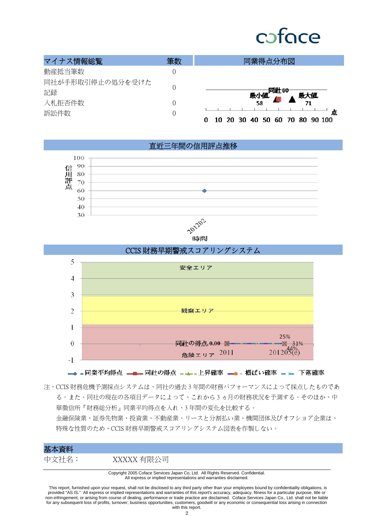# cofoce

| マイナス情報総覧         | 筆数 | 同業得点分布図                                   |
|------------------|----|-------------------------------------------|
| 動産抵当筆数           |    |                                           |
| 同社が手形取引停止の処分を受けた |    |                                           |
| 記録               |    | <b>─────同社60</b><br>最小値. ▲ 最大値.           |
| 入札拒否件数           |    | 58                                        |
| 訴訟件数             |    | 点<br>70 80 90 100<br>10<br>40 50 60<br>30 |

直近三年間の信用評点推移



時間



注、CCIS 財務危機予測採点システムは、同社の過去 3 年間の財務パフォーマンスによって採点したものであ る。また、同社の現在の各項目データによって、これから 3 ヵ月の財務状況を予測する。そのほか、中 華徵信所『財務総分析』同業平均得点を入れ、3 年間の変化を比較する。 金融保険業、証券先物業、投資業、不動産業、リースと分割払い業、機関団体及びオフショア企業は、 特殊な性質のため、CCIS 財務早期警戒スコアリングシステム図表を作製しない。

### 基本資料

中文社名: XXXXX 有限公司

Copyright 2005 Coface Services Japan Co, Ltd. All Rights Reserved. Confidential. All express or implied representations and warranties disclaimed.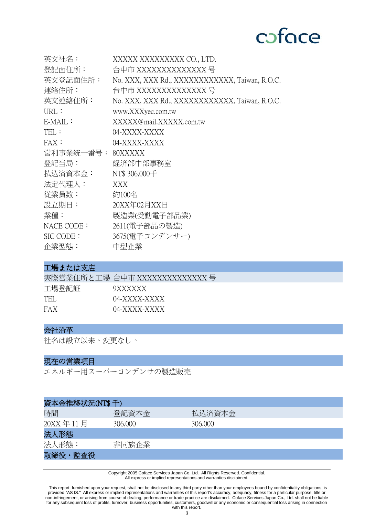| 英文社名:             | XXXXX XXXXXXXXX CO., LTD.                      |
|-------------------|------------------------------------------------|
| 登記面住所:            | 台中市 XXXXXXXXXXXXXX 号                           |
| 英文登記面住所:          | No. XXX, XXX Rd., XXXXXXXXXXXX, Taiwan, R.O.C. |
| 連絡住所:             | 台中市 XXXXXXXXXXXXX 号                            |
| 英文連絡住所:           | No. XXX, XXX Rd., XXXXXXXXXXXX, Taiwan, R.O.C. |
| URL:              | www.XXXyec.com.tw                              |
| $E\text{-}MAIL$ : | XXXXX@mail.XXXXX.com.tw                        |
| TEL:              | 04-XXXX-XXXX                                   |
| FAX:              | 04-XXXX-XXXX                                   |
| 営利事業統一番号:         | 80XXXXX                                        |
| 登記当局:             | 経済部中部事務室                                       |
| 払込済資本金:           | NT\$ 306,000 <sup><math>\pm</math></sup>       |
| 法定代理人:            | XXX                                            |
| 従業員数:             | 約100名                                          |
| 設立期日:             | 20XX年02月XX日                                    |
| 業種:               | 製造業(受動電子部品業)                                   |
| NACE CODE:        | 2611(電子部品の製造)                                  |
| $SIC$ CODE:       | 3675(電子コンデンサー)                                 |
| 企業型態:             | 中型企業                                           |

## 工場または支店

|       | 実際営業住所と工場 台中市 XXXXXXXXXXXXXX 号 |
|-------|--------------------------------|
| 工場登記証 | 9XXXXXX                        |
| TEL.  | 04-XXXX-XXXX                   |
| FAX   | 04-XXXX-XXXX                   |

# 会社沿革

社名は設立以来、変更なし。

# 現在の営業項目

エネルギー用スーパーコンデンサの製造販売

| 資本金推移状況(NT\$千) |         |         |
|----------------|---------|---------|
| 時間             | 登記資本金   | 払込済資本金  |
| 20XX年11月       | 306,000 | 306,000 |
| 法人形態           |         |         |
| 法人形態:          | 非同族企業   |         |
| 取締役·監査役        |         |         |

Copyright 2005 Coface Services Japan Co, Ltd. All Rights Reserved. Confidential. All express or implied representations and warranties disclaimed.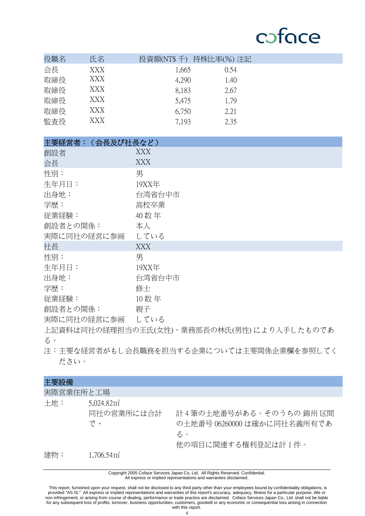| 役職名 | 氏名  | 投資額(NT\$ 千) 持株比率(%) 注記 |      |  |
|-----|-----|------------------------|------|--|
| 会長  | XXX | 1,665                  | 0.54 |  |
| 取締役 | XXX | 4,290                  | 1.40 |  |
| 取締役 | XXX | 8,183                  | 2.67 |  |
| 取締役 | XXX | 5,475                  | 1.79 |  |
| 取締役 | XXX | 6,750                  | 2.21 |  |
| 監査役 | XXX | 7,193                  | 2.35 |  |

| 主要経営者:(会長及び社長など) |            |
|------------------|------------|
| 創設者              | XXX        |
| 会長               | <b>XXX</b> |
| 性別:              | 男          |
| 生年月日:            | 19XX年      |
| 出身地:             | 台湾省台中市     |
| 学歴:              | 高校卒業       |
| 従業経験:            | 40 数年      |
| 創設者との関係:         | 本人         |
| 実際に同社の経営に参画      | している       |
| 社長               | <b>XXX</b> |
| 性別:              | 男          |
| 生年月日:            | 19XX年      |
| 出身地:             | 台湾省台中市     |
| 学歴:              | 修士         |
| 従業経験:            | 10数年       |
| 創設者との関係:         | 親子         |
| 実際に同社の経営に参画      | している       |

上記資料は同社の 経理担当の王氏(女性)、業務部長の林氏(男性)により入手したものであ る。

注: 主要な経営者がもし会長職務を担当する企業については主要関係企業欄を参照してく ださい。

| 主要設備      |                                            |                                                                                    |
|-----------|--------------------------------------------|------------------------------------------------------------------------------------|
| 実際営業住所と工場 |                                            |                                                                                    |
| 土地:       | 5,024.82 <sup>π²</sup><br>同社の営業所には合計<br>で、 | 計4筆の土地番号がある。そのうちの 錦州 区間<br>の土地番号 06260000 は確かに同社名義所有であ<br>る。<br>他の項目に関連する権利登記は計1件。 |
| 建物:       | $1,706.54$ $\mathrm{m}^2$                  |                                                                                    |

Copyright 2005 Coface Services Japan Co, Ltd. All Rights Reserved. Confidential. All express or implied representations and warranties disclaimed.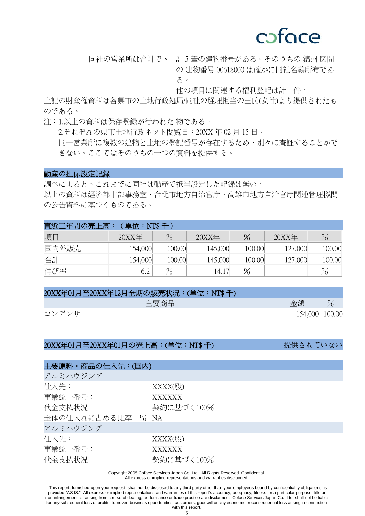同社の営業所は合計で、 計 5 筆の建物番号がある。そのうちの 錦州 区間 の 建物番号 00618000 は確かに同社名義所有であ る。

他の項目に関連する権利登記は計 1 件。

上記の財産権資料は各県市の土地行政処局/同社の 経理担当の王氏(女性) より提供されたも のである。

注:1.以上の資料は保存登録が行われた
物である。 2.それぞれの県市土地行政ネット閲覧日:20XX 年 02 月 15 日。 同一営業所に複数の建物と土地の登記番号が存在するため、別々に査証することがで きない。ここではそのうちの一つの資料を提供する。

### 動産の担保設定記録

調べによると、これまでに同社は動産で抵当設定した記録は無い。 以上の資料は経済部中部事務室、台北市地方自治官庁、高雄市地方自治官庁関連管理機関 の公告資料に基づくものである。

| 直近三年間の売上高: | (単位: NT\$ 千) |        |              |        |                          |        |
|------------|--------------|--------|--------------|--------|--------------------------|--------|
| 項目         | $20XX$ 年     | $\%$   | $20$ $X$ $E$ | $\%$   | $20XX$ 年                 | $\%$   |
| 国内外販売      | 154,000      | 100.00 | 145,000      | 100.00 | 127,000                  | 100.00 |
| 合計         | 154,000      | 100.00 | 145,000      | 100.00 | 127,000                  | 100.00 |
| 伸び率        | 6.2          | $\%$   | 14.17        | %      | $\overline{\phantom{0}}$ | $\%$   |

| 20XX年01月至20XX年12月全期の販売状況:(単位:NT\$ 千) |                |      |
|--------------------------------------|----------------|------|
| 主要商品                                 | 金額             | $\%$ |
| コンデンサ                                | 154,000 100.00 |      |

### 20XX年01月至20XX年01月の売上高:(単位:NT\$ 千) またはない 提供されていない

# 主要原料・商品の仕入先:(国内) アルミハウジング 仕入先: XXXX(股) 事業統一番号: XXXXXX 代金支払状況 マンスコンク 契約に基づく100% 全体の仕入れに占める比率 % NA アルミハウジング 仕入先: XXXX(股) 事業統一番号: XXXXXX 代金支払状況 タンファンク 契約に基づく100%

Copyright 2005 Coface Services Japan Co, Ltd. All Rights Reserved. Confidential.

All express or implied representations and warranties disclaimed.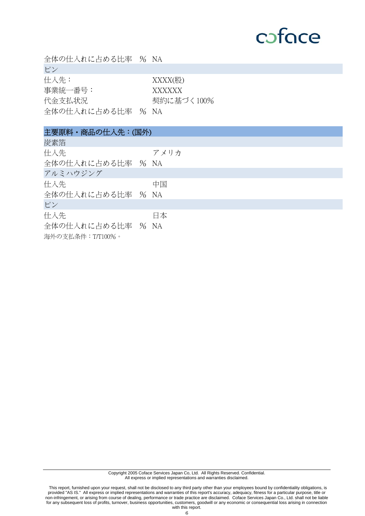| 全体の仕入れに占める比率 % NA                              |                                    |
|------------------------------------------------|------------------------------------|
| ピン                                             |                                    |
| 仕入先:<br>事業統一番号:<br>代金支払状況<br>全体の仕入れに占める比率 % NA | $XXXX$ (股)<br>XXXXXX<br>契約に基づく100% |
| 主要原料・商品の仕入先:(国外)                               |                                    |
| 炭素箔                                            |                                    |
| 仕入先                                            | アメリカ                               |
| 全体の仕入れに占める比率 % NA                              |                                    |
| アルミハウジング                                       |                                    |
| 仕入先                                            | 中国                                 |
| 全体の仕入れに占める比率 % NA                              |                                    |
| ピン                                             |                                    |
| 仕入先                                            | 日本                                 |
| 全体の仕入れに占める比率 % NA                              |                                    |
| 海外の支払条件:T/T100%。                               |                                    |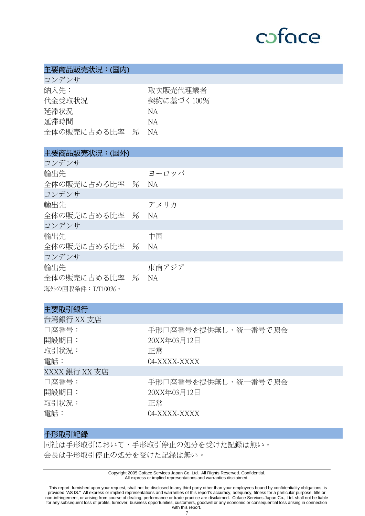### 主要商品販売状況:(国内)

コンデンサ

| — / / / '/    |            |
|---------------|------------|
| 納入先:          | 取次販売代理業者   |
| 代金受取状況        | 契約に基づく100% |
| 延滞状況          | NА         |
| 延滞時間          | NА         |
| 全体の販売に占める比率 % | - NA       |

# 主要商品販売状況:(国外)

| コンデンサ            |           |
|------------------|-----------|
| 輸出先              | ヨーロッパ     |
| 全体の販売に占める比率 % NA |           |
| コンデンサ            |           |
| 輸出先              | アメリカ      |
| 全体の販売に占める比率 % NA |           |
| コンデンサ            |           |
| 輸出先              | 中国        |
| 全体の販売に占める比率 % NA |           |
| コンデンサ            |           |
| 輸出先              | 東南アジア     |
| 全体の販売に占める比率 %    | <b>NA</b> |
| 海外の回収条件:T/T100%。 |           |

| 主要取引銀行                                          |                                                          |
|-------------------------------------------------|----------------------------------------------------------|
| 台湾銀行 XX 支店                                      |                                                          |
| 口座番号:<br>開設期日:<br>取引状況:<br>電話:<br>XXXX 銀行 XX 支店 | 手形口座番号を提供無し、統一番号で照会<br>20XX年03月12日<br>正常<br>04-XXXX-XXXX |
| 口座番号:<br>開設期日:<br>取引状況:<br>電話:                  | 手形口座番号を提供無し、統一番号で照会<br>20XX年03月12日<br>正常<br>04-XXXX-XXXX |

# 手形取引記録

同社は手形取引において、手形取引停止の処分を受けた記録は無い。 会長は手形取引停止の処分を受けた記録は無い。

> Copyright 2005 Coface Services Japan Co, Ltd. All Rights Reserved. Confidential. All express or implied representations and warranties disclaimed.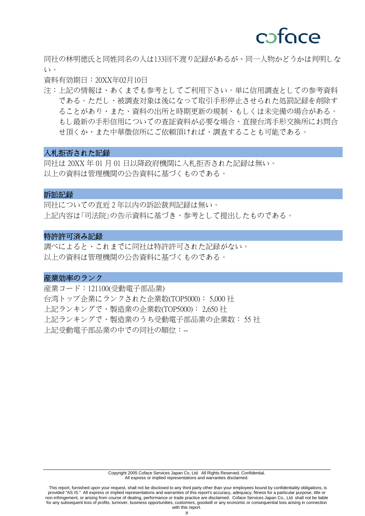同社の林明徳氏と同姓同名の人は 133 回不渡り記録があるが、同一人物かどうかは判明しな い。

資料有効期日: 20XX年02月10日

注:上記の情報は、あくまでも参考としてご利用下さい。単に信用調査としての参考資料 である。ただし、被調査対象は後になって取引手形停止させられた処罰記録を削除す ることがあり、また、資料の出所と時期更新の規制、もしくは未完備の場合がある。 もし最新の手形信用についての査証資料が必要な場合、直接台湾手形交換所にお問合 せ頂くか、また中華徴信所にご依頼頂ければ、調査することも可能である。

### 入札拒否された記録

同社は 20XX 年 01 月 01 日以降政府機関に入札拒否された記録は無い。 以上の資料は管理機関の公告資料に基づくものである。

### 訴訟記録

同社についての直近 2 年以内の訴訟裁判記録は無い。 上記内容は「司法院」の告示資料に基づき、参考として提出したものである。

#### 特許許可済み記録

調べによると、これまでに同社は特許許可された記録がない。 以上の資料は管理機関の公告資料に基づくものである。

#### 産業効率のランク

産業コード:121100(受動電子部品業) 台湾トップ企業にランクされた企業数(TOP5000): 5,000 社 上記ランキングで、製造業の企業数(TOP5000): 2,650 社 上記ランキングで、製造業のうち受動電子部品業の企業数: 55 社 上記受動電子部品業の中での同社の順位:--

This report, furnished upon your request, shall not be disclosed to any third party other than your employees bound by confidentiality obligations, is provided "AS IS." All express or implied representations and warranties of this report's accuracy, adequacy, fitness for a particular purpose, title or non-infringement, or arising from course of dealing, performance or trade practice are disclaimed. Coface Services Japan Co., Ltd. shall not be liable for any subsequent loss of profits, turnover, business opportunities, customers, goodwill or any economic or consequential loss arising in connection with this report.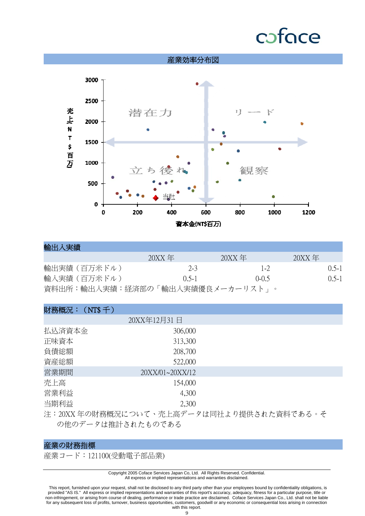

| 輸出入実績                            |               |               |               |           |
|----------------------------------|---------------|---------------|---------------|-----------|
|                                  | $20XX \tcong$ | $20XX \tcong$ | $20XX \tcong$ |           |
| 輸出実績(百万米ドル)                      | $2-3$         | $1 - 2$       |               | $0.5 - 1$ |
| 輸入実績(百万米ドル)                      | $() 5-1$      | $(1-(1.5))$   |               | $0.5 - 1$ |
| 資料出所:輸出入実績:経済部の「輸出入実績優良メーカーリスト」。 |               |               |               |           |

| 財務概況: (NT\$千) |                 |                                                                                                                                                                                                                                                                                                                                                     |
|---------------|-----------------|-----------------------------------------------------------------------------------------------------------------------------------------------------------------------------------------------------------------------------------------------------------------------------------------------------------------------------------------------------|
|               | 20XX年12月31日     |                                                                                                                                                                                                                                                                                                                                                     |
| 払込済資本金        | 306,000         |                                                                                                                                                                                                                                                                                                                                                     |
| 正味資本          | 313,300         |                                                                                                                                                                                                                                                                                                                                                     |
| 負債総額          | 208,700         |                                                                                                                                                                                                                                                                                                                                                     |
| 資産総額          | 522,000         |                                                                                                                                                                                                                                                                                                                                                     |
| 営業期間          | 20XX/01~20XX/12 |                                                                                                                                                                                                                                                                                                                                                     |
| 売上高           | 154,000         |                                                                                                                                                                                                                                                                                                                                                     |
| 営業利益          | 4,300           |                                                                                                                                                                                                                                                                                                                                                     |
| 当期利益          | 2,300           |                                                                                                                                                                                                                                                                                                                                                     |
| $\lambda$     |                 | $\overline{a}$ , $\overline{a}$ , $\overline{a}$ , $\overline{a}$ , $\overline{a}$ , $\overline{a}$ , $\overline{a}$ , $\overline{a}$ , $\overline{a}$ , $\overline{a}$ , $\overline{a}$ , $\overline{a}$ , $\overline{a}$ , $\overline{a}$ , $\overline{a}$ , $\overline{a}$ , $\overline{a}$ , $\overline{a}$ , $\overline{a}$ , $\overline{a}$ , |

注:20XX 年の財務概況について、売上高データは同社より提供された資料である。そ の他のデータは推計されたものである

# 産業の財務指標

産業コード:121100(受動電子部品業)

Copyright 2005 Coface Services Japan Co, Ltd. All Rights Reserved. Confidential. All express or implied representations and warranties disclaimed.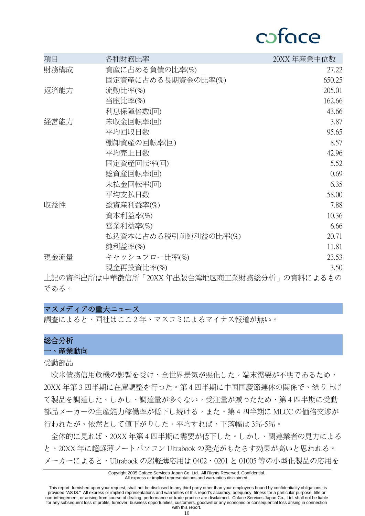# cafoce

| 項目   | 各種財務比率                                   | 20XX 年産業中位数 |
|------|------------------------------------------|-------------|
| 財務構成 | 資産に占める負債の比率(%)                           | 27.22       |
|      | 固定資産に占める長期資金の比率(%)                       | 650.25      |
| 返済能力 | 流動比率(%)                                  | 205.01      |
|      | 当座比率(%)                                  | 162.66      |
|      | 利息保障倍数(回)                                | 43.66       |
| 経営能力 | 未収金回転率(回)                                | 3.87        |
|      | 平均回収日数                                   | 95.65       |
|      | 棚卸資産の回転率(回)                              | 8.57        |
|      | 平均壳上日数                                   | 42.96       |
|      | 固定資産回転率(回)                               | 5.52        |
|      | 総資産回転率(回)                                | 0.69        |
|      | 未払金回転率(回)                                | 6.35        |
|      | 平均支払日数                                   | 58.00       |
| 収益性  | 総資産利益率(%)                                | 7.88        |
|      | 資本利益率(%)                                 | 10.36       |
|      | 営業利益率(%)                                 | 6.66        |
|      | 払込資本に占める税引前純利益の比率(%)                     | 20.71       |
|      | 純利益率(%)                                  | 11.81       |
| 現金流量 | キャッシュフロー比率(%)                            | 23.53       |
|      | 現金再投資比率(%)                               | 3.50        |
|      | 上望 《歌剧》 "可以是我们的人们的人们,你们们的人都能够在我们的人们的人们。" |             |

上記の資料出所は中華徴信所「20XX 年出版台湾地区商工業財務総分析」の資料によるもの である。

### マスメディアの重大ニュース

調査によると、同社はここ 2 年、マスコミによるマイナス報道が無い。

# 総合分析

一、産業動向

受動部品

 欧米債務信用危機の影響を受け、全世界景気が悪化した。端末需要が不明であるため、 20XX 年第 3 四半期に在庫調整を行った。第 4 四半期に中国国慶節連休の関係で、繰り上げ て製品を調達した。しかし、調達量が多くない。受注量が減ったため、第 4 四半期に受動 部品メーカーの生産能力稼働率が低下し続ける。また、第 4 四半期に MLCC の価格交渉が 行われたが、依然として値下がりした。平均すれば、下落幅は 3%-5%。

 全体的に見れば、20XX 年第 4 四半期に需要が低下した。しかし、関連業者の見方による と、20XX 年に超軽薄ノートパソコン Ultrabook の発売がもたらす効果が高いと思われる。 メーカーによると、Ultrabook の超軽薄応用は 0402、0201 と 01005 等の小型化製品の応用を

#### Copyright 2005 Coface Services Japan Co, Ltd. All Rights Reserved. Confidential. All express or implied representations and warranties disclaimed.

 This report, furnished upon your request, shall not be disclosed to any third party other than your employees bound by confidentiality obligations, is provided "AS IS." All express or implied representations and warranties of this report's accuracy, adequacy, fitness for a particular purpose, title or non-infringement, or arising from course of dealing, performance or trade practice are disclaimed. Coface Services Japan Co., Ltd. shall not be liable for any subsequent loss of profits, turnover, business opportunities, customers, goodwill or any economic or consequential loss arising in connection with this report.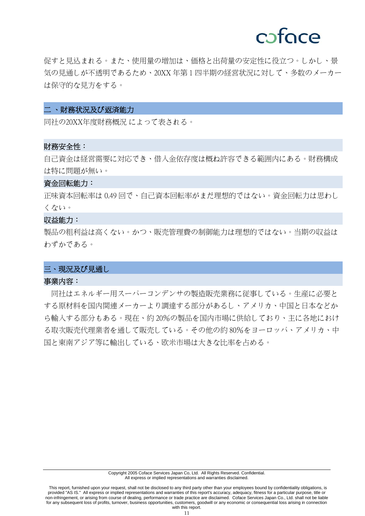促すと見込まれる。また、使用量の増加は、価格と出荷量の安定性に役立つ。しかし、景 気の見通しが不透明であるため、20XX 年第 1 四半期の経営状況に対して、多数のメーカー は保守的な見方をする。

### 二 、財務状況及び返済能力

同社の 20XX 年度財務概況 によって表される。

#### 財務安全性:

自己資金は経営需要に対応でき、借入金依存度は概ね許容できる範囲内にある。財務構成 は特に問題が無い。

#### 資金回転能力:

正味資本回転率は0.49 回で、自己資本回転率がまだ理想的ではない。資金回転力は思わし くない。

### 収益能力:

製品の粗利益は高くない。かつ、販売管理費の制御能力は理想的ではない。当期の収益は わずかである。

### 三、現況及び見通し

### 事業内容:

 同社はエネルギー用スーパーコンデンサの製造販売業務に従事している。生産に必要と する原材料を国内関連メーカーより調達する部分があるし、アメリカ、中国と日本などか ら輸入する部分もある。現在、約 20%の製品を国内市場に供給しており、主に各地におけ る取次販売代理業者を通して販売している。その他の約 80%をヨーロッパ、アメリカ、中 国と東南アジア等に輸出している、欧米市場は大きな比率を占める。

 This report, furnished upon your request, shall not be disclosed to any third party other than your employees bound by confidentiality obligations, is provided "AS IS." All express or implied representations and warranties of this report's accuracy, adequacy, fitness for a particular purpose, title or non-infringement, or arising from course of dealing, performance or trade practice are disclaimed. Coface Services Japan Co., Ltd. shall not be liable for any subsequent loss of profits, turnover, business opportunities, customers, goodwill or any economic or consequential loss arising in connection with this report.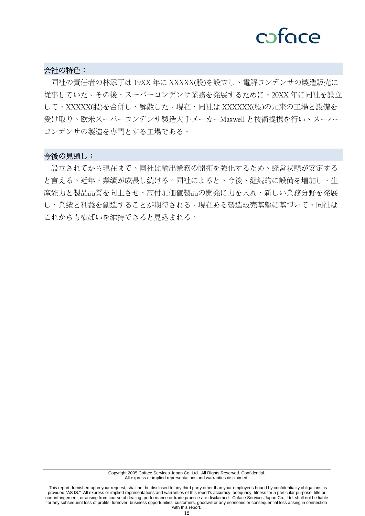# cofoce

### 会社の特色:

 同社の責任者の林添丁は 19XX 年に XXXXX(股)を設立し、電解コンデンサの製造販売に 従事していた。その後、スーパーコンデンサ業務を発展するために、20XX 年に同社を設立 して、XXXXX(股)を合併し、解散した。現在、同社は XXXXXX(股)の元来の工場と設備を 受け取り、欧米スーパーコンデンサ製造大手メーカーMaxwell と技術提携を行い、スーパー コンデンサの製造を専門とする工場である。

### 今後の見通し:

 設立されてから現在まで、同社は輸出業務の開拓を強化するため、経営状態が安定する と言える。近年、業績が成長し続ける。同社によると、今後、継続的に設備を増加し、生 産能力と製品品質を向上させ、高付加価値製品の開発に力を入れ、新しい業務分野を発展 し、業績と利益を創造することが期待される。現在ある製造販売基盤に基づいて、同社は これからも横ばいを維持できると見込まれる。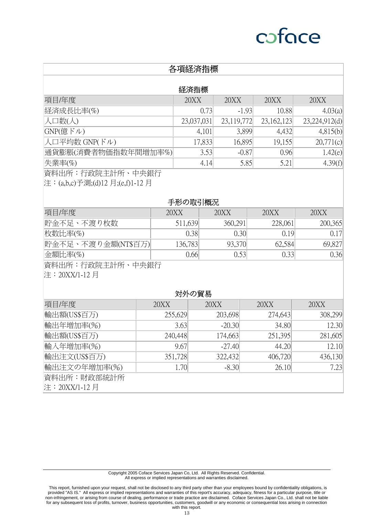# 各項経済指標

### 経済指標

| 項目/年度               | 20XX       | 20XX       | 20XX         | 20XX          |
|---------------------|------------|------------|--------------|---------------|
| 経済成長比率(%)           | 0.73       | $-1.93$    | 10.88        | 4.03(a)       |
| 人口数(人)              | 23,037,031 | 23,119,772 | 23, 162, 123 | 23,224,912(d) |
| GNP(意ドル)            | 4,101      | 3,899      | 4,432        | 4,815(b)      |
| 人口平均数 GNP(ドル)       | 17,833     | 16,895     | 19,155       | 20,771(c)     |
| 通貨膨脹(消費者物価指数年間増加率%) | 3.53       | $-0.87$    | 0.96         | 1.42(e)       |
| 失業率(%)              | 4.14       | 5.85       | 5.21         | 4.39(f)       |
|                     |            |            |              |               |

資料出所:行政院主計所、中央銀行

注:(a,b,c)予測;(d)12 月;(e,f)1-12 月

#### 手形の取引概況

| 項目/年度              | 20XX    | 20XX    | 20XX    | 20XX    |
|--------------------|---------|---------|---------|---------|
| 貯金不足、不渡り枚数         | 511,639 | 360,291 | 228,061 | 200,365 |
| 枚数比率(%)            | 0.38    | 0.30    | 0.19    | 0.17    |
| 貯金不足、不渡り金額(NT\$百万) | 136,783 | 93,370  | 62,584  | 69,827  |
| $\triangle$ 額比率(%) | 0.661   |         | 0.33    | 0.36    |

資料出所:行政院主計所、中央銀行

注:20XX/1-12 月

### 対外の貿易

| 項目/年度         | 20XX    | 20XX     | 20XX    | 20XX    |
|---------------|---------|----------|---------|---------|
| 輸出額(US\$百万)   | 255,629 | 203,698  | 274,643 | 308,299 |
| 輸出年増加率(%)     | 3.63    | $-20.30$ | 34.80   | 12.30   |
| 輸出額(US\$百万)   | 240,448 | 174,663  | 251,395 | 281,605 |
| 輸入年増加率(%)     | 9.67    | $-27.40$ | 44.20   | 12.10   |
| 輸出注文(US\$百万)  | 351,728 | 322,432  | 406,720 | 436,130 |
| 輸出注文の年増加率(%)  | 1.70    | $-8.30$  | 26.10   | 7.23    |
| 資料出所:財政部統計所   |         |          |         |         |
| 注:20XX/1-12 月 |         |          |         |         |

 This report, furnished upon your request, shall not be disclosed to any third party other than your employees bound by confidentiality obligations, is provided "AS IS." All express or implied representations and warranties of this report's accuracy, adequacy, fitness for a particular purpose, title or non-infringement, or arising from course of dealing, performance or trade practice are disclaimed. Coface Services Japan Co., Ltd. shall not be liable for any subsequent loss of profits, turnover, business opportunities, customers, goodwill or any economic or consequential loss arising in connection with this report.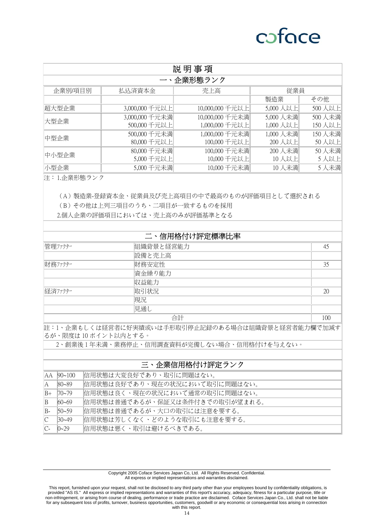| 説明事項    |                |                 |           |        |
|---------|----------------|-----------------|-----------|--------|
|         |                | 一、企業形態ランク       |           |        |
| 企業別/項目別 | 払込済資本金         | 売上高             | 従業員       |        |
|         |                |                 | 製造業       | その他    |
| 超大型企業   | 3,000,000 千元以上 | 10,000,000 千元以上 | 5,000 人以上 | 500人以上 |
| 大型企業    | 3,000,000 千元未満 | 10,000,000 千元未満 | 5,000 人未満 | 500人未満 |
|         | 500,000 千元以上   | 1,000,000 千元以上  | 1,000 人以上 | 150人以上 |
| 中型企業    | 500,000 千元未満   | 1,000,000 千元未満  | 1,000 人未満 | 150人未満 |
|         | 80,000 千元以上    | 100,000 千元以上    | 200人以上    | 50人以上  |
| 中小型企業   | 80,000 千元未満    | 100,000 千元未満    | 200 人未満   | 50人未満  |
|         | 5,000 千元以上     | 10,000 千元以上     | 10人以上     | 5人以上   |
| Ⅳ型企業    | 5,000 千元未満     | 10,000 千元未満     | 10人未満     | 5人未満   |

注:1.企業形態ランク

(A)製造業-登録資本金、従業員及び売上高項目の中で最高のものが評価項目として選択される

(B)その他は上列三項目のうち、二項目が一致するものを採用

2.個人企業の評価項目においては、売上高のみが評価基準となる

|         | 二、信用格付け評定標準比率 |     |
|---------|---------------|-----|
| 管理ファクター | 組織背景と経営能力     | 45  |
|         | 設備と売上高        |     |
| 財務ファクター | 財務安定性         | 35  |
|         | 資金繰り能力        |     |
|         | 収益能力          |     |
| 経済ファクター | 取引状況          | 20  |
|         | 現況            |     |
|         | 見通し           |     |
|         | 合計            | 100 |

註:1、企業もしくは経営者に好実績或いは手形取引停止記録のある場合は組織背景と経営者能力欄で加減す るが、限度は 10 ポイント以内とする。

2、創業後 1 年未満、業務停止、信用調査資料が完備しない場合、信用格付けを与えない。

#### 三、企業信用格付け評定ランク

|              | AA 90~100   | 信用状態は大変良好であり、取引に問題はない。         |
|--------------|-------------|--------------------------------|
| IA.          | $ 80 - 89 $ | 信用状態は良好であり、現在の状況において取引に問題はない。  |
| $B+$         | $70 - 79$   | 信用状態は良く、現在の状況において通常の取引に問題はない。  |
| B            | $60 - 69$   | 信用状態は普通であるが、保証又は条件付きでの取引が望まれる。 |
| $B-$         | $50 - 59$   | 信用状態は普通であるが、大口の取引には注意を要する。     |
| C            | $30 - 49$   | 信用状態は芳しくなく、どのような取引にも注意を要する。    |
| $\mathbb{C}$ | $0 - 29$    | 信用状態は悪く、取引は避けるべきである。           |

Copyright 2005 Coface Services Japan Co, Ltd. All Rights Reserved. Confidential. All express or implied representations and warranties disclaimed.